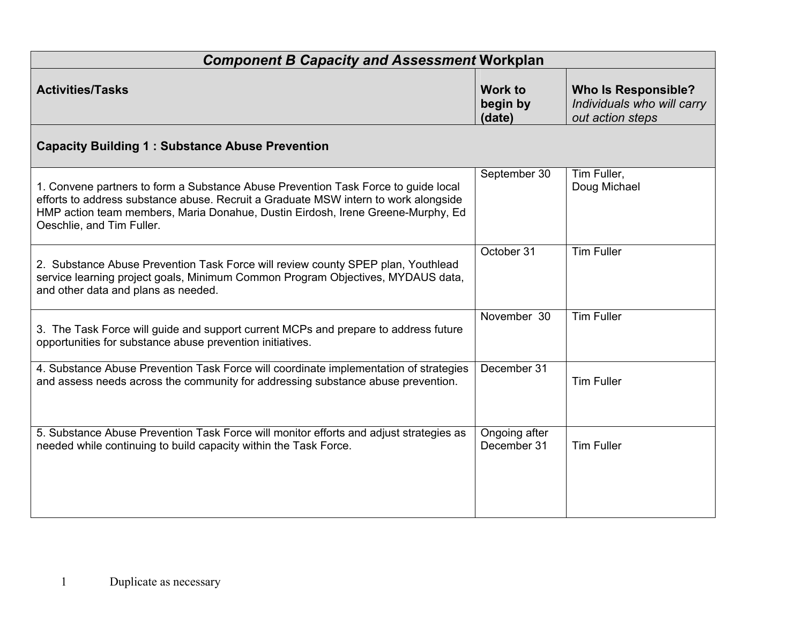| <b>Component B Capacity and Assessment Workplan</b>                                                                                                                                                                                                                                       |                                      |                                                                              |  |  |  |
|-------------------------------------------------------------------------------------------------------------------------------------------------------------------------------------------------------------------------------------------------------------------------------------------|--------------------------------------|------------------------------------------------------------------------------|--|--|--|
| <b>Activities/Tasks</b>                                                                                                                                                                                                                                                                   | <b>Work to</b><br>begin by<br>(date) | <b>Who Is Responsible?</b><br>Individuals who will carry<br>out action steps |  |  |  |
| <b>Capacity Building 1: Substance Abuse Prevention</b>                                                                                                                                                                                                                                    |                                      |                                                                              |  |  |  |
| 1. Convene partners to form a Substance Abuse Prevention Task Force to guide local<br>efforts to address substance abuse. Recruit a Graduate MSW intern to work alongside<br>HMP action team members, Maria Donahue, Dustin Eirdosh, Irene Greene-Murphy, Ed<br>Oeschlie, and Tim Fuller. | September 30                         | Tim Fuller,<br>Doug Michael                                                  |  |  |  |
| 2. Substance Abuse Prevention Task Force will review county SPEP plan, Youthlead<br>service learning project goals, Minimum Common Program Objectives, MYDAUS data,<br>and other data and plans as needed.                                                                                | October 31                           | <b>Tim Fuller</b>                                                            |  |  |  |
| 3. The Task Force will guide and support current MCPs and prepare to address future<br>opportunities for substance abuse prevention initiatives.                                                                                                                                          | November 30                          | <b>Tim Fuller</b>                                                            |  |  |  |
| 4. Substance Abuse Prevention Task Force will coordinate implementation of strategies<br>and assess needs across the community for addressing substance abuse prevention.                                                                                                                 | December 31                          | <b>Tim Fuller</b>                                                            |  |  |  |
| 5. Substance Abuse Prevention Task Force will monitor efforts and adjust strategies as<br>needed while continuing to build capacity within the Task Force.                                                                                                                                | Ongoing after<br>December 31         | <b>Tim Fuller</b>                                                            |  |  |  |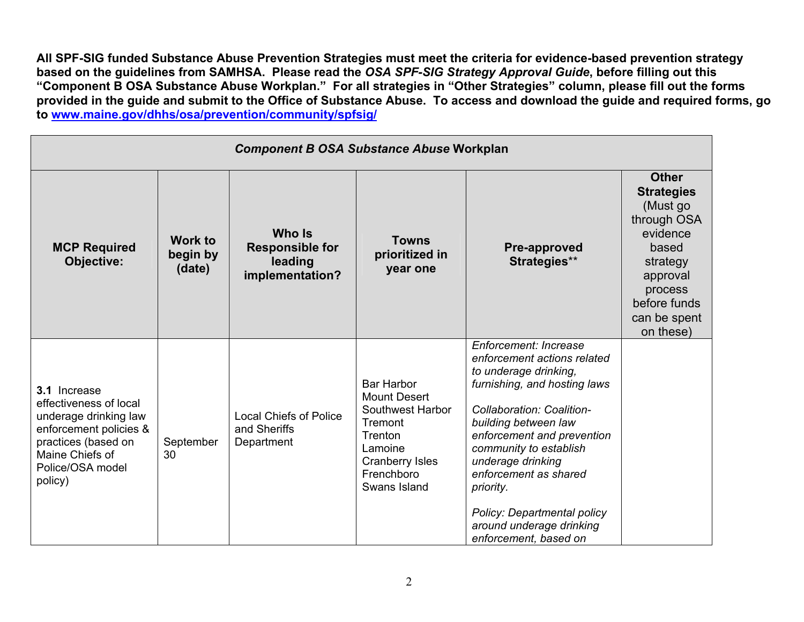All SPF-SIG funded Substance Abuse Prevention Strategies must meet the criteria for evidence-based prevention strategy based on the guidelines from SAMHSA. Please read the OSA SPF-SIG Strategy Approval Guide, before filling out this "Component B OSA Substance Abuse Workplan." For all strategies in "Other Strategies" column, please fill out the forms provided in the guide and submit to the Office of Substance Abuse. To access and download the guide and required forms, go to www.maine.gov/dhhs/osa/prevention/community/spfsig/

| <b>Component B OSA Substance Abuse Workplan</b>                                                                                                                    |                               |                                                                |                                                                                                                                                       |                                                                                                                                                                                                                                                                                                                                                                           |                                                                                                                                                                   |
|--------------------------------------------------------------------------------------------------------------------------------------------------------------------|-------------------------------|----------------------------------------------------------------|-------------------------------------------------------------------------------------------------------------------------------------------------------|---------------------------------------------------------------------------------------------------------------------------------------------------------------------------------------------------------------------------------------------------------------------------------------------------------------------------------------------------------------------------|-------------------------------------------------------------------------------------------------------------------------------------------------------------------|
| <b>MCP Required</b><br>Objective:                                                                                                                                  | Work to<br>begin by<br>(date) | Who Is<br><b>Responsible for</b><br>leading<br>implementation? | <b>Towns</b><br>prioritized in<br>year one                                                                                                            | <b>Pre-approved</b><br>Strategies**                                                                                                                                                                                                                                                                                                                                       | <b>Other</b><br><b>Strategies</b><br>(Must go<br>through OSA<br>evidence<br>based<br>strategy<br>approval<br>process<br>before funds<br>can be spent<br>on these) |
| 3.1 Increase<br>effectiveness of local<br>underage drinking law<br>enforcement policies &<br>practices (based on<br>Maine Chiefs of<br>Police/OSA model<br>policy) | September<br>30               | <b>Local Chiefs of Police</b><br>and Sheriffs<br>Department    | <b>Bar Harbor</b><br><b>Mount Desert</b><br>Southwest Harbor<br>Tremont<br>Trenton<br>Lamoine<br><b>Cranberry Isles</b><br>Frenchboro<br>Swans Island | Enforcement: Increase<br>enforcement actions related<br>to underage drinking,<br>furnishing, and hosting laws<br>Collaboration: Coalition-<br>building between law<br>enforcement and prevention<br>community to establish<br>underage drinking<br>enforcement as shared<br>priority.<br>Policy: Departmental policy<br>around underage drinking<br>enforcement, based on |                                                                                                                                                                   |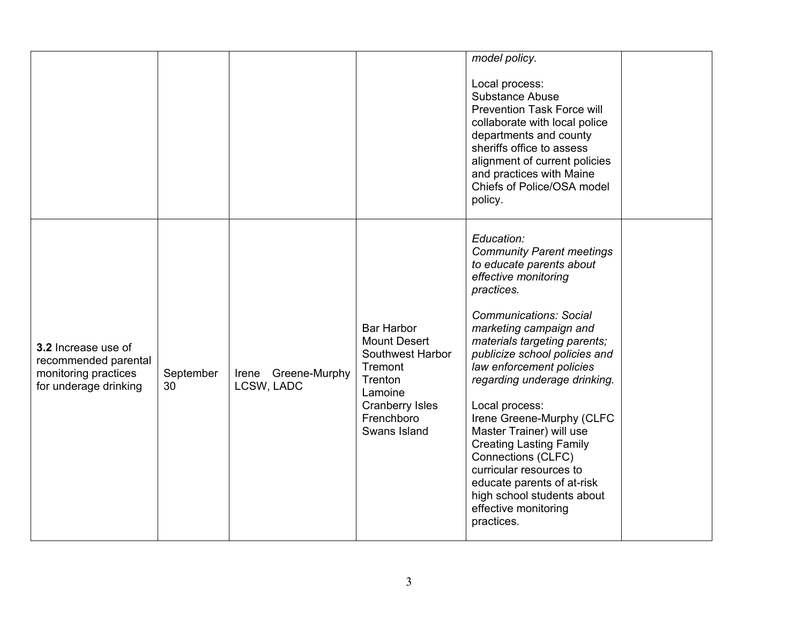|                                                                                              |                 |                                   |                                                                                                                                                       | model policy.<br>Local process:<br>Substance Abuse<br><b>Prevention Task Force will</b><br>collaborate with local police<br>departments and county<br>sheriffs office to assess<br>alignment of current policies<br>and practices with Maine<br>Chiefs of Police/OSA model<br>policy.                                                                                                                                                                                                                                                                                    |  |
|----------------------------------------------------------------------------------------------|-----------------|-----------------------------------|-------------------------------------------------------------------------------------------------------------------------------------------------------|--------------------------------------------------------------------------------------------------------------------------------------------------------------------------------------------------------------------------------------------------------------------------------------------------------------------------------------------------------------------------------------------------------------------------------------------------------------------------------------------------------------------------------------------------------------------------|--|
| 3.2 Increase use of<br>recommended parental<br>monitoring practices<br>for underage drinking | September<br>30 | Irene Greene-Murphy<br>LCSW, LADC | <b>Bar Harbor</b><br><b>Mount Desert</b><br>Southwest Harbor<br>Tremont<br>Trenton<br>Lamoine<br><b>Cranberry Isles</b><br>Frenchboro<br>Swans Island | Education:<br><b>Community Parent meetings</b><br>to educate parents about<br>effective monitoring<br>practices.<br><b>Communications: Social</b><br>marketing campaign and<br>materials targeting parents;<br>publicize school policies and<br>law enforcement policies<br>regarding underage drinking.<br>Local process:<br>Irene Greene-Murphy (CLFC<br>Master Trainer) will use<br><b>Creating Lasting Family</b><br>Connections (CLFC)<br>curricular resources to<br>educate parents of at-risk<br>high school students about<br>effective monitoring<br>practices. |  |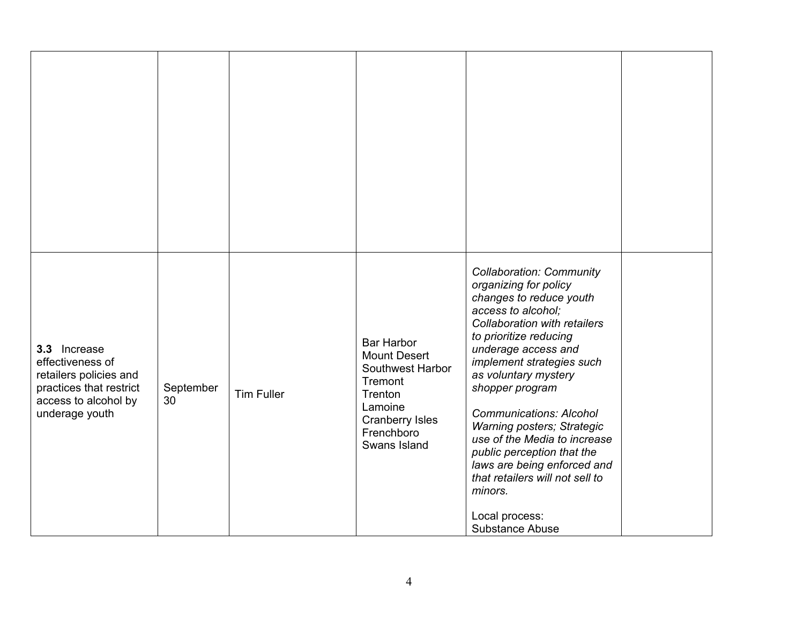| 3.3 Increase<br>effectiveness of<br>retailers policies and<br>practices that restrict<br>access to alcohol by<br>underage youth | September<br>30 | <b>Tim Fuller</b> | Bar Harbor<br><b>Mount Desert</b><br>Southwest Harbor<br>Tremont<br>Trenton<br>Lamoine<br>Cranberry Isles<br>Frenchboro<br>Swans Island | <b>Collaboration: Community</b><br>organizing for policy<br>changes to reduce youth<br>access to alcohol;<br>Collaboration with retailers<br>to prioritize reducing<br>underage access and<br>implement strategies such<br>as voluntary mystery<br>shopper program<br><b>Communications: Alcohol</b><br><b>Warning posters; Strategic</b><br>use of the Media to increase<br>public perception that the<br>laws are being enforced and<br>that retailers will not sell to<br>minors.<br>Local process:<br>Substance Abuse |  |
|---------------------------------------------------------------------------------------------------------------------------------|-----------------|-------------------|-----------------------------------------------------------------------------------------------------------------------------------------|---------------------------------------------------------------------------------------------------------------------------------------------------------------------------------------------------------------------------------------------------------------------------------------------------------------------------------------------------------------------------------------------------------------------------------------------------------------------------------------------------------------------------|--|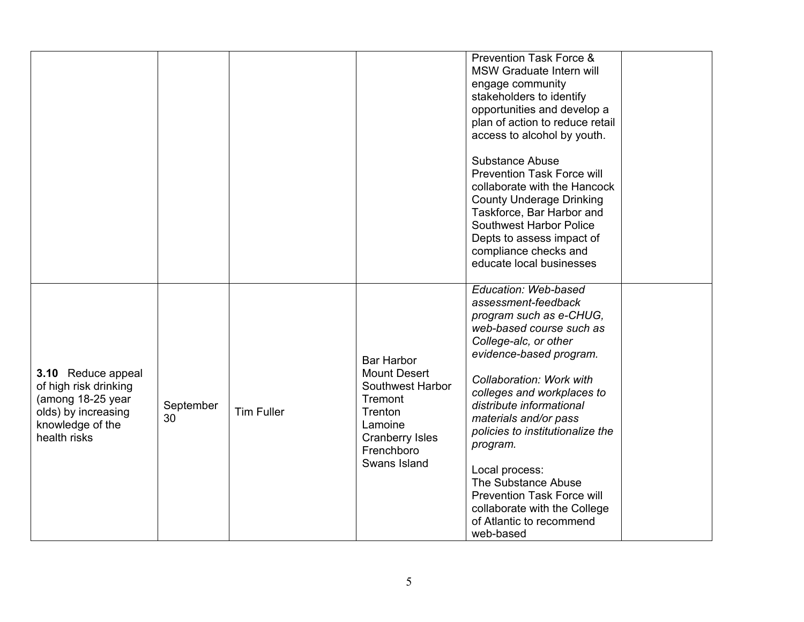|                                                                                                                             |                 |                   |                                                                                                                                                       | <b>Prevention Task Force &amp;</b><br>MSW Graduate Intern will<br>engage community<br>stakeholders to identify<br>opportunities and develop a<br>plan of action to reduce retail<br>access to alcohol by youth.                                                                                                                                                                                                                                                              |  |
|-----------------------------------------------------------------------------------------------------------------------------|-----------------|-------------------|-------------------------------------------------------------------------------------------------------------------------------------------------------|------------------------------------------------------------------------------------------------------------------------------------------------------------------------------------------------------------------------------------------------------------------------------------------------------------------------------------------------------------------------------------------------------------------------------------------------------------------------------|--|
|                                                                                                                             |                 |                   |                                                                                                                                                       | <b>Substance Abuse</b><br><b>Prevention Task Force will</b><br>collaborate with the Hancock<br><b>County Underage Drinking</b><br>Taskforce, Bar Harbor and<br>Southwest Harbor Police<br>Depts to assess impact of<br>compliance checks and<br>educate local businesses                                                                                                                                                                                                     |  |
| 3.10 Reduce appeal<br>of high risk drinking<br>(among 18-25 year<br>olds) by increasing<br>knowledge of the<br>health risks | September<br>30 | <b>Tim Fuller</b> | <b>Bar Harbor</b><br><b>Mount Desert</b><br>Southwest Harbor<br>Tremont<br>Trenton<br>Lamoine<br><b>Cranberry Isles</b><br>Frenchboro<br>Swans Island | Education: Web-based<br>assessment-feedback<br>program such as e-CHUG,<br>web-based course such as<br>College-alc, or other<br>evidence-based program.<br>Collaboration: Work with<br>colleges and workplaces to<br>distribute informational<br>materials and/or pass<br>policies to institutionalize the<br>program.<br>Local process:<br>The Substance Abuse<br><b>Prevention Task Force will</b><br>collaborate with the College<br>of Atlantic to recommend<br>web-based |  |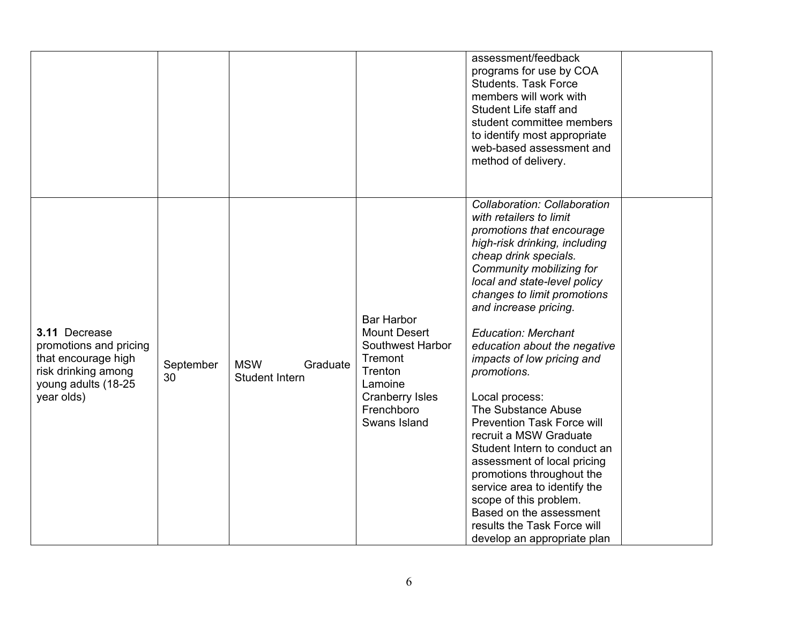|                                                                                                                            |                 |                                          |                                                                                                                                                       | assessment/feedback<br>programs for use by COA<br><b>Students. Task Force</b><br>members will work with<br>Student Life staff and<br>student committee members<br>to identify most appropriate<br>web-based assessment and<br>method of delivery.                                                                                                                                                                                                                                                                                                                                                                                                                                                                                    |
|----------------------------------------------------------------------------------------------------------------------------|-----------------|------------------------------------------|-------------------------------------------------------------------------------------------------------------------------------------------------------|--------------------------------------------------------------------------------------------------------------------------------------------------------------------------------------------------------------------------------------------------------------------------------------------------------------------------------------------------------------------------------------------------------------------------------------------------------------------------------------------------------------------------------------------------------------------------------------------------------------------------------------------------------------------------------------------------------------------------------------|
| 3.11 Decrease<br>promotions and pricing<br>that encourage high<br>risk drinking among<br>young adults (18-25<br>year olds) | September<br>30 | <b>MSW</b><br>Graduate<br>Student Intern | <b>Bar Harbor</b><br><b>Mount Desert</b><br>Southwest Harbor<br>Tremont<br>Trenton<br>Lamoine<br><b>Cranberry Isles</b><br>Frenchboro<br>Swans Island | Collaboration: Collaboration<br>with retailers to limit<br>promotions that encourage<br>high-risk drinking, including<br>cheap drink specials.<br>Community mobilizing for<br>local and state-level policy<br>changes to limit promotions<br>and increase pricing.<br><b>Education: Merchant</b><br>education about the negative<br>impacts of low pricing and<br>promotions.<br>Local process:<br>The Substance Abuse<br><b>Prevention Task Force will</b><br>recruit a MSW Graduate<br>Student Intern to conduct an<br>assessment of local pricing<br>promotions throughout the<br>service area to identify the<br>scope of this problem.<br>Based on the assessment<br>results the Task Force will<br>develop an appropriate plan |